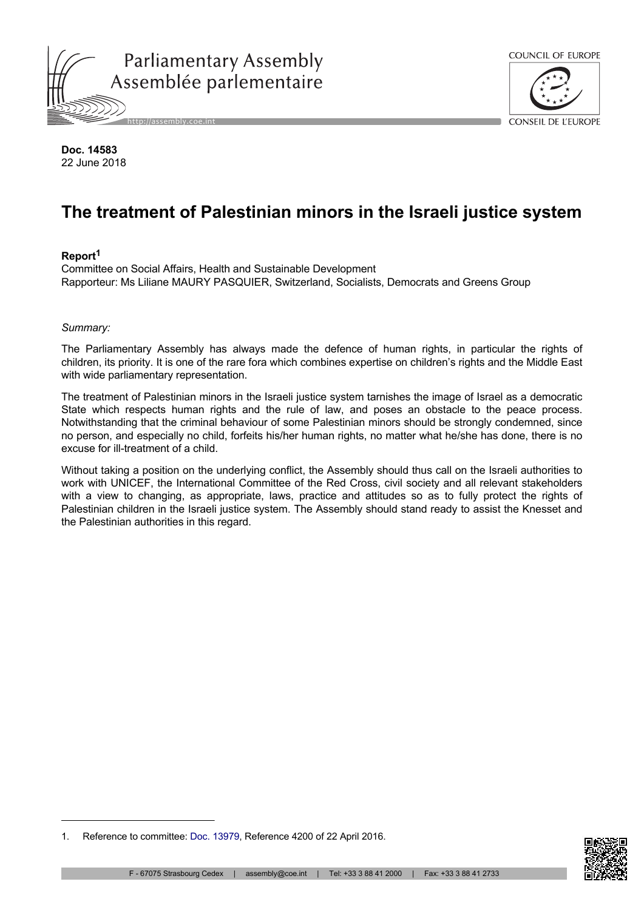



**Doc. 14583** 22 June 2018

# **The treatment of Palestinian minors in the Israeli justice system**

#### **Report<sup>1</sup>**

Committee on Social Affairs, Health and Sustainable Development Rapporteur: Ms Liliane MAURY PASQUIER, Switzerland, Socialists, Democrats and Greens Group

#### *Summary:*

The Parliamentary Assembly has always made the defence of human rights, in particular the rights of children, its priority. It is one of the rare fora which combines expertise on children's rights and the Middle East with wide parliamentary representation.

The treatment of Palestinian minors in the Israeli justice system tarnishes the image of Israel as a democratic State which respects human rights and the rule of law, and poses an obstacle to the peace process. Notwithstanding that the criminal behaviour of some Palestinian minors should be strongly condemned, since no person, and especially no child, forfeits his/her human rights, no matter what he/she has done, there is no excuse for ill-treatment of a child.

Without taking a position on the underlying conflict, the Assembly should thus call on the Israeli authorities to work with UNICEF, the International Committee of the Red Cross, civil society and all relevant stakeholders with a view to changing, as appropriate, laws, practice and attitudes so as to fully protect the rights of Palestinian children in the Israeli justice system. The Assembly should stand ready to assist the Knesset and the Palestinian authorities in this regard.



<sup>1.</sup> Reference to committee: [Doc. 13979](http://assembly.coe.int/nw/xml/XRef/Xref-DocDetails-en.asp?FileId=22516), Reference 4200 of 22 April 2016.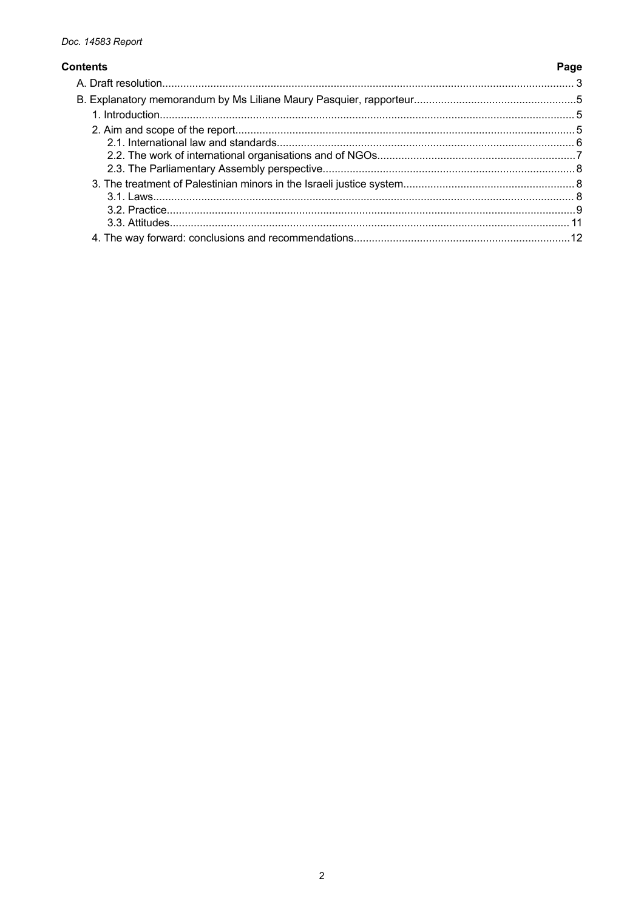# **Contents**

Page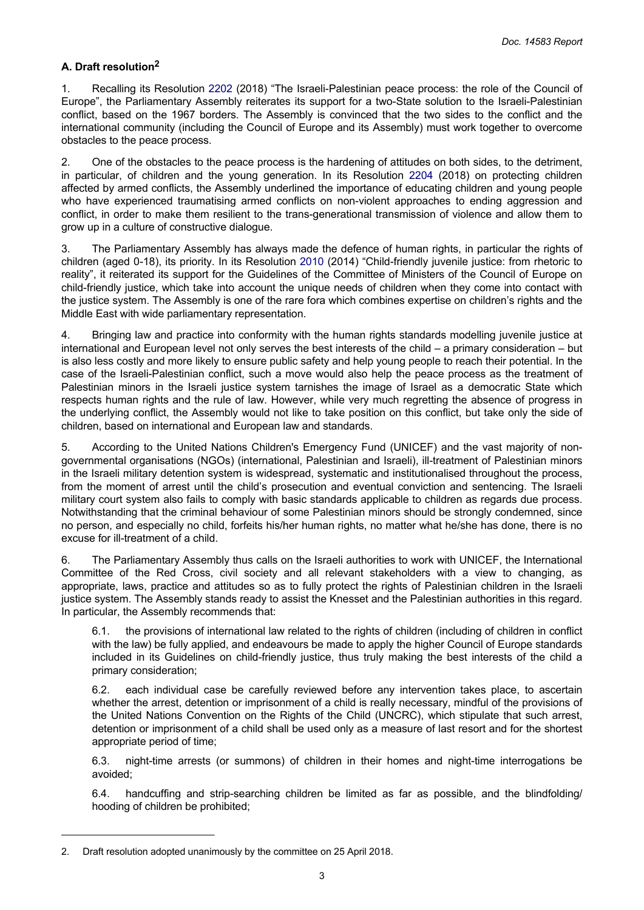# <span id="page-2-0"></span>**A. Draft resolution<sup>2</sup>**

1. Recalling its Resolution [2202](http://assembly.coe.int/nw/xml/XRef/Xref-DocDetails-en.asp?FileId=24483) (2018) "The Israeli-Palestinian peace process: the role of the Council of Europe", the Parliamentary Assembly reiterates its support for a two-State solution to the Israeli-Palestinian conflict, based on the 1967 borders. The Assembly is convinced that the two sides to the conflict and the international community (including the Council of Europe and its Assembly) must work together to overcome obstacles to the peace process.

2. One of the obstacles to the peace process is the hardening of attitudes on both sides, to the detriment, in particular, of children and the young generation. In its Resolution [2204](http://assembly.coe.int/nw/xml/XRef/Xref-DocDetails-en.asp?FileId=24495) (2018) on protecting children affected by armed conflicts, the Assembly underlined the importance of educating children and young people who have experienced traumatising armed conflicts on non-violent approaches to ending aggression and conflict, in order to make them resilient to the trans-generational transmission of violence and allow them to grow up in a culture of constructive dialogue.

3. The Parliamentary Assembly has always made the defence of human rights, in particular the rights of children (aged 0-18), its priority. In its Resolution [2010](http://assembly.coe.int/nw/xml/XRef/Xref-DocDetails-en.asp?FileId=21090) (2014) "Child-friendly juvenile justice: from rhetoric to reality", it reiterated its support for the Guidelines of the Committee of Ministers of the Council of Europe on child-friendly justice, which take into account the unique needs of children when they come into contact with the justice system. The Assembly is one of the rare fora which combines expertise on children's rights and the Middle East with wide parliamentary representation.

4. Bringing law and practice into conformity with the human rights standards modelling juvenile justice at international and European level not only serves the best interests of the child – a primary consideration – but is also less costly and more likely to ensure public safety and help young people to reach their potential. In the case of the Israeli-Palestinian conflict, such a move would also help the peace process as the treatment of Palestinian minors in the Israeli justice system tarnishes the image of Israel as a democratic State which respects human rights and the rule of law. However, while very much regretting the absence of progress in the underlying conflict, the Assembly would not like to take position on this conflict, but take only the side of children, based on international and European law and standards.

5. According to the United Nations Children's Emergency Fund (UNICEF) and the vast majority of nongovernmental organisations (NGOs) (international, Palestinian and Israeli), ill-treatment of Palestinian minors in the Israeli military detention system is widespread, systematic and institutionalised throughout the process, from the moment of arrest until the child's prosecution and eventual conviction and sentencing. The Israeli military court system also fails to comply with basic standards applicable to children as regards due process. Notwithstanding that the criminal behaviour of some Palestinian minors should be strongly condemned, since no person, and especially no child, forfeits his/her human rights, no matter what he/she has done, there is no excuse for ill-treatment of a child.

6. The Parliamentary Assembly thus calls on the Israeli authorities to work with UNICEF, the International Committee of the Red Cross, civil society and all relevant stakeholders with a view to changing, as appropriate, laws, practice and attitudes so as to fully protect the rights of Palestinian children in the Israeli justice system. The Assembly stands ready to assist the Knesset and the Palestinian authorities in this regard. In particular, the Assembly recommends that:

6.1. the provisions of international law related to the rights of children (including of children in conflict with the law) be fully applied, and endeavours be made to apply the higher Council of Europe standards included in its Guidelines on child-friendly justice, thus truly making the best interests of the child a primary consideration;

6.2. each individual case be carefully reviewed before any intervention takes place, to ascertain whether the arrest, detention or imprisonment of a child is really necessary, mindful of the provisions of the United Nations Convention on the Rights of the Child (UNCRC), which stipulate that such arrest, detention or imprisonment of a child shall be used only as a measure of last resort and for the shortest appropriate period of time;

6.3. night-time arrests (or summons) of children in their homes and night-time interrogations be avoided;

6.4. handcuffing and strip-searching children be limited as far as possible, and the blindfolding/ hooding of children be prohibited;

<sup>2.</sup> Draft resolution adopted unanimously by the committee on 25 April 2018.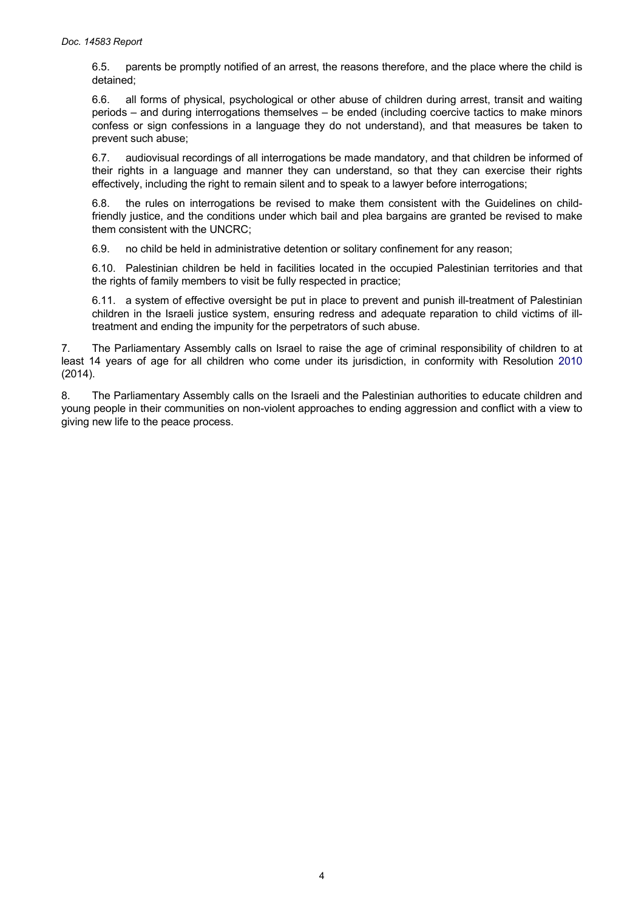6.5. parents be promptly notified of an arrest, the reasons therefore, and the place where the child is detained;

6.6. all forms of physical, psychological or other abuse of children during arrest, transit and waiting periods – and during interrogations themselves – be ended (including coercive tactics to make minors confess or sign confessions in a language they do not understand), and that measures be taken to prevent such abuse;

6.7. audiovisual recordings of all interrogations be made mandatory, and that children be informed of their rights in a language and manner they can understand, so that they can exercise their rights effectively, including the right to remain silent and to speak to a lawyer before interrogations;

6.8. the rules on interrogations be revised to make them consistent with the Guidelines on childfriendly justice, and the conditions under which bail and plea bargains are granted be revised to make them consistent with the UNCRC;

6.9. no child be held in administrative detention or solitary confinement for any reason;

6.10. Palestinian children be held in facilities located in the occupied Palestinian territories and that the rights of family members to visit be fully respected in practice;

6.11. a system of effective oversight be put in place to prevent and punish ill-treatment of Palestinian children in the Israeli justice system, ensuring redress and adequate reparation to child victims of illtreatment and ending the impunity for the perpetrators of such abuse.

7. The Parliamentary Assembly calls on Israel to raise the age of criminal responsibility of children to at least 14 years of age for all children who come under its jurisdiction, in conformity with Resolution [2010](http://assembly.coe.int/nw/xml/XRef/Xref-DocDetails-en.asp?FileId=21090)  (2014).

8. The Parliamentary Assembly calls on the Israeli and the Palestinian authorities to educate children and young people in their communities on non-violent approaches to ending aggression and conflict with a view to giving new life to the peace process.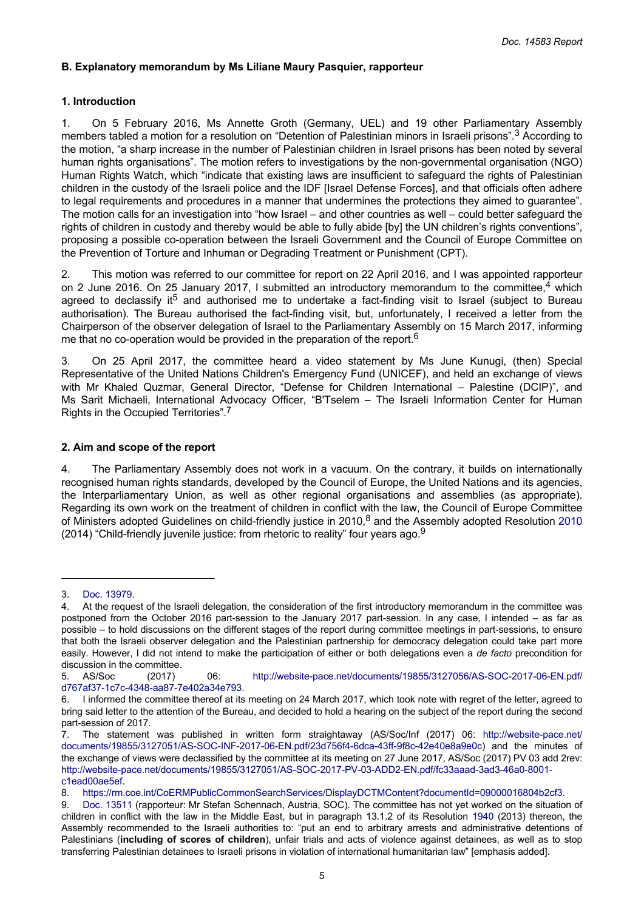## <span id="page-4-0"></span>**B. Explanatory memorandum by Ms Liliane Maury Pasquier, rapporteur**

## **1. Introduction**

1. On 5 February 2016, Ms Annette Groth (Germany, UEL) and 19 other Parliamentary Assembly members tabled a motion for a resolution on "Detention of Palestinian minors in Israeli prisons".3 According to the motion, "a sharp increase in the number of Palestinian children in Israel prisons has been noted by several human rights organisations". The motion refers to investigations by the non-governmental organisation (NGO) Human Rights Watch, which "indicate that existing laws are insufficient to safeguard the rights of Palestinian children in the custody of the Israeli police and the IDF [Israel Defense Forces], and that officials often adhere to legal requirements and procedures in a manner that undermines the protections they aimed to guarantee". The motion calls for an investigation into "how Israel – and other countries as well – could better safeguard the rights of children in custody and thereby would be able to fully abide [by] the UN children's rights conventions", proposing a possible co-operation between the Israeli Government and the Council of Europe Committee on the Prevention of Torture and Inhuman or Degrading Treatment or Punishment (CPT).

2. This motion was referred to our committee for report on 22 April 2016, and I was appointed rapporteur on 2 June 2016. On 25 January 2017, I submitted an introductory memorandum to the committee,  $4$  which agreed to declassify it<sup>5</sup> and authorised me to undertake a fact-finding visit to Israel (subject to Bureau authorisation). The Bureau authorised the fact-finding visit, but, unfortunately, I received a letter from the Chairperson of the observer delegation of Israel to the Parliamentary Assembly on 15 March 2017, informing me that no co-operation would be provided in the preparation of the report.<sup>6</sup>

3. On 25 April 2017, the committee heard a video statement by Ms June Kunugi, (then) Special Representative of the United Nations Children's Emergency Fund (UNICEF), and held an exchange of views with Mr Khaled Quzmar, General Director, "Defense for Children International – Palestine (DCIP)", and Ms Sarit Michaeli, International Advocacy Officer, "B'Tselem – The Israeli Information Center for Human Rights in the Occupied Territories".<sup>7</sup>

#### **2. Aim and scope of the report**

4. The Parliamentary Assembly does not work in a vacuum. On the contrary, it builds on internationally recognised human rights standards, developed by the Council of Europe, the United Nations and its agencies, the Interparliamentary Union, as well as other regional organisations and assemblies (as appropriate). Regarding its own work on the treatment of children in conflict with the law, the Council of Europe Committee of Ministers adopted Guidelines on child-friendly justice in 2010,<sup>8</sup> and the Assembly adopted Resolution 2010 (2014) "Child-friendly juvenile justice: from rhetoric to reality" four years ago. $9$ 

<sup>3.</sup> [Doc. 13979](http://assembly.coe.int/nw/xml/XRef/Xref-DocDetails-en.asp?FileId=22516). At the request of the Israeli delegation, the consideration of the first introductory memorandum in the committee was postponed from the October 2016 part-session to the January 2017 part-session. In any case, I intended – as far as possible – to hold discussions on the different stages of the report during committee meetings in part-sessions, to ensure that both the Israeli observer delegation and the Palestinian partnership for democracy delegation could take part more easily. However, I did not intend to make the participation of either or both delegations even a *de facto* precondition for discussion in the committee.

<sup>5.</sup> AS/Soc (2017) 06: [http://website-pace.net/documents/19855/3127056/AS-SOC-2017-06-EN.pdf/](http://website-pace.net/documents/19855/3127056/AS-SOC-2017-06-EN.pdf/d767af37-1c7c-4348-aa87-7e402a34e793) [d767af37-1c7c-4348-aa87-7e402a34e793.](http://website-pace.net/documents/19855/3127056/AS-SOC-2017-06-EN.pdf/d767af37-1c7c-4348-aa87-7e402a34e793)

<sup>6.</sup> I informed the committee thereof at its meeting on 24 March 2017, which took note with regret of the letter, agreed to bring said letter to the attention of the Bureau, and decided to hold a hearing on the subject of the report during the second part-session of 2017.

<sup>7.</sup> The statement was published in written form straightaway (AS/Soc/Inf (2017) 06: [http://website-pace.net/](http://website-pace.net/documents/19855/3127051/AS-SOC-INF-2017-06-EN.pdf/23d756f4-6dca-43ff-9f8c-42e40e8a9e0c) [documents/19855/3127051/AS-SOC-INF-2017-06-EN.pdf/23d756f4-6dca-43ff-9f8c-42e40e8a9e0c\)](http://website-pace.net/documents/19855/3127051/AS-SOC-INF-2017-06-EN.pdf/23d756f4-6dca-43ff-9f8c-42e40e8a9e0c) and the minutes of the exchange of views were declassified by the committee at its meeting on 27 June 2017, AS/Soc (2017) PV 03 add 2rev: [http://website-pace.net/documents/19855/3127051/AS-SOC-2017-PV-03-ADD2-EN.pdf/fc33aaad-3ad3-46a0-8001](http://website-pace.net/documents/19855/3127051/AS-SOC-2017-PV-03-ADD2-EN.pdf/fc33aaad-3ad3-46a0-8001-c1ead00ae5ef) [c1ead00ae5ef](http://website-pace.net/documents/19855/3127051/AS-SOC-2017-PV-03-ADD2-EN.pdf/fc33aaad-3ad3-46a0-8001-c1ead00ae5ef).

<sup>8.</sup> [https://rm.coe.int/CoERMPublicCommonSearchServices/DisplayDCTMContent?documentId=09000016804b2cf3.](https://rm.coe.int/CoERMPublicCommonSearchServices/DisplayDCTMContent?documentId=09000016804b2cf3)

<sup>9.</sup> Doc. [13511](http://assembly.coe.int/nw/xml/XRef/Xref-DocDetails-en.asp?FileId=20914) (rapporteur: Mr Stefan Schennach, Austria, SOC). The committee has not yet worked on the situation of children in conflict with the law in the Middle East, but in paragraph 13.1.2 of its Resolution [1940](http://assembly.coe.int/nw/xml/XRef/Xref-DocDetails-en.asp?FileId=19915) (2013) thereon, the Assembly recommended to the Israeli authorities to: "put an end to arbitrary arrests and administrative detentions of Palestinians (**including of scores of children**), unfair trials and acts of violence against detainees, as well as to stop transferring Palestinian detainees to Israeli prisons in violation of international humanitarian law" [emphasis added].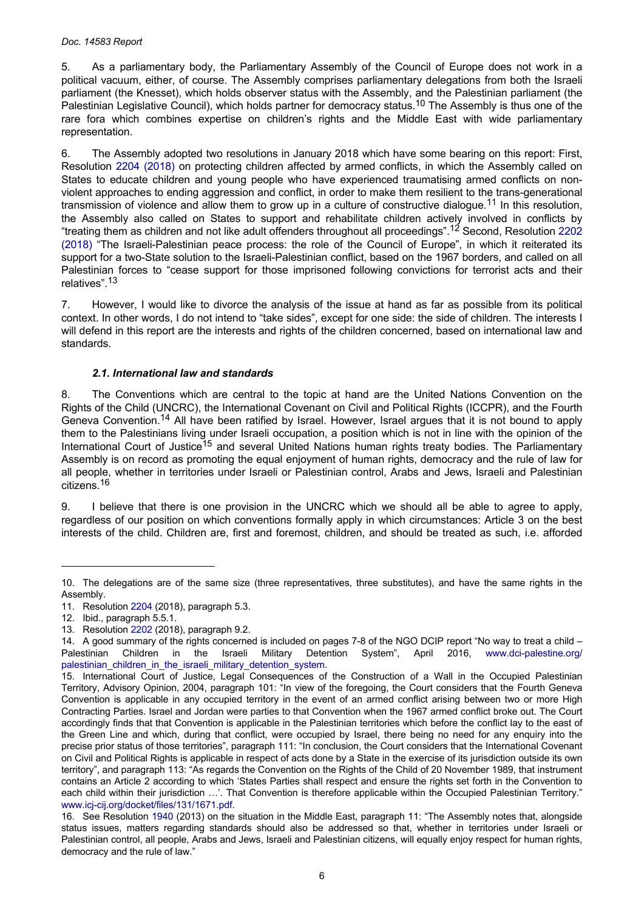#### <span id="page-5-0"></span>*Doc. 14583 Report*

5. As a parliamentary body, the Parliamentary Assembly of the Council of Europe does not work in a political vacuum, either, of course. The Assembly comprises parliamentary delegations from both the Israeli parliament (the Knesset), which holds observer status with the Assembly, and the Palestinian parliament (the Palestinian Legislative Council), which holds partner for democracy status.10 The Assembly is thus one of the rare fora which combines expertise on children's rights and the Middle East with wide parliamentary representation.

6. The Assembly adopted two resolutions in January 2018 which have some bearing on this report: First, Resolution 2204 [\(2018\)](http://assembly.coe.int/nw/xml/XRef/Xref-DocDetails-en.asp?FileId=24495) on protecting children affected by armed conflicts, in which the Assembly called on States to educate children and young people who have experienced traumatising armed conflicts on nonviolent approaches to ending aggression and conflict, in order to make them resilient to the trans-generational transmission of violence and allow them to grow up in a culture of constructive dialogue.<sup>11</sup> In this resolution, the Assembly also called on States to support and rehabilitate children actively involved in conflicts by "treating them as children and not like adult offenders throughout all proceedings".12 Second, Resolution [2202](http://assembly.coe.int/nw/xml/XRef/Xref-DocDetails-en.asp?FileId=24483)  [\(2018\)](http://assembly.coe.int/nw/xml/XRef/Xref-DocDetails-en.asp?FileId=24483) "The Israeli-Palestinian peace process: the role of the Council of Europe", in which it reiterated its support for a two-State solution to the Israeli-Palestinian conflict, based on the 1967 borders, and called on all Palestinian forces to "cease support for those imprisoned following convictions for terrorist acts and their relatives".<sup>13</sup>

7. However, I would like to divorce the analysis of the issue at hand as far as possible from its political context. In other words, I do not intend to "take sides", except for one side: the side of children. The interests I will defend in this report are the interests and rights of the children concerned, based on international law and standards.

#### *2.1. International law and standards*

8. The Conventions which are central to the topic at hand are the United Nations Convention on the Rights of the Child (UNCRC), the International Covenant on Civil and Political Rights (ICCPR), and the Fourth Geneva Convention.<sup>14</sup> All have been ratified by Israel. However, Israel argues that it is not bound to apply them to the Palestinians living under Israeli occupation, a position which is not in line with the opinion of the International Court of Justice<sup>15</sup> and several United Nations human rights treaty bodies. The Parliamentary Assembly is on record as promoting the equal enjoyment of human rights, democracy and the rule of law for all people, whether in territories under Israeli or Palestinian control, Arabs and Jews, Israeli and Palestinian citizens.<sup>16</sup>

9. I believe that there is one provision in the UNCRC which we should all be able to agree to apply, regardless of our position on which conventions formally apply in which circumstances: Article 3 on the best interests of the child. Children are, first and foremost, children, and should be treated as such, i.e. afforded

<sup>10.</sup> The delegations are of the same size (three representatives, three substitutes), and have the same rights in the Assembly.

<sup>11.</sup> Resolution [2204](http://assembly.coe.int/nw/xml/XRef/Xref-DocDetails-en.asp?FileId=24495) (2018), paragraph 5.3.

<sup>12.</sup> Ibid., paragraph 5.5.1.

<sup>13.</sup> Resolution [2202](http://assembly.coe.int/nw/xml/XRef/Xref-DocDetails-en.asp?FileId=24483) (2018), paragraph 9.2.

<sup>14.</sup> A good summary of the rights concerned is included on pages 7-8 of the NGO DCIP report "No way to treat a child – Palestinian Children in the Israeli Military Detention System", April 2016, [www.dci-palestine.org/](http://www.dci-palestine.org/palestinian_children_in_the_israeli_military_detention_system) [palestinian\\_children\\_in\\_the\\_israeli\\_military\\_detention\\_system](http://www.dci-palestine.org/palestinian_children_in_the_israeli_military_detention_system).

<sup>15.</sup> International Court of Justice, Legal Consequences of the Construction of a Wall in the Occupied Palestinian Territory, Advisory Opinion, 2004, paragraph 101: "In view of the foregoing, the Court considers that the Fourth Geneva Convention is applicable in any occupied territory in the event of an armed conflict arising between two or more High Contracting Parties. Israel and Jordan were parties to that Convention when the 1967 armed conflict broke out. The Court accordingly finds that that Convention is applicable in the Palestinian territories which before the conflict lay to the east of the Green Line and which, during that conflict, were occupied by Israel, there being no need for any enquiry into the precise prior status of those territories", paragraph 111: "In conclusion, the Court considers that the International Covenant on Civil and Political Rights is applicable in respect of acts done by a State in the exercise of its jurisdiction outside its own territory", and paragraph 113: "As regards the Convention on the Rights of the Child of 20 November 1989, that instrument contains an Article 2 according to which 'States Parties shall respect and ensure the rights set forth in the Convention to each child within their jurisdiction ...'. That Convention is therefore applicable within the Occupied Palestinian Territory." [www.icj-cij.org/docket/files/131/1671.pdf.](http://www.icj-cij.org/docket/files/131/1671.pdf)

<sup>16.</sup> See Resolution [1940](http://assembly.coe.int/nw/xml/XRef/Xref-DocDetails-en.asp?FileId=19915) (2013) on the situation in the Middle East, paragraph 11: "The Assembly notes that, alongside status issues, matters regarding standards should also be addressed so that, whether in territories under Israeli or Palestinian control, all people, Arabs and Jews, Israeli and Palestinian citizens, will equally enjoy respect for human rights, democracy and the rule of law."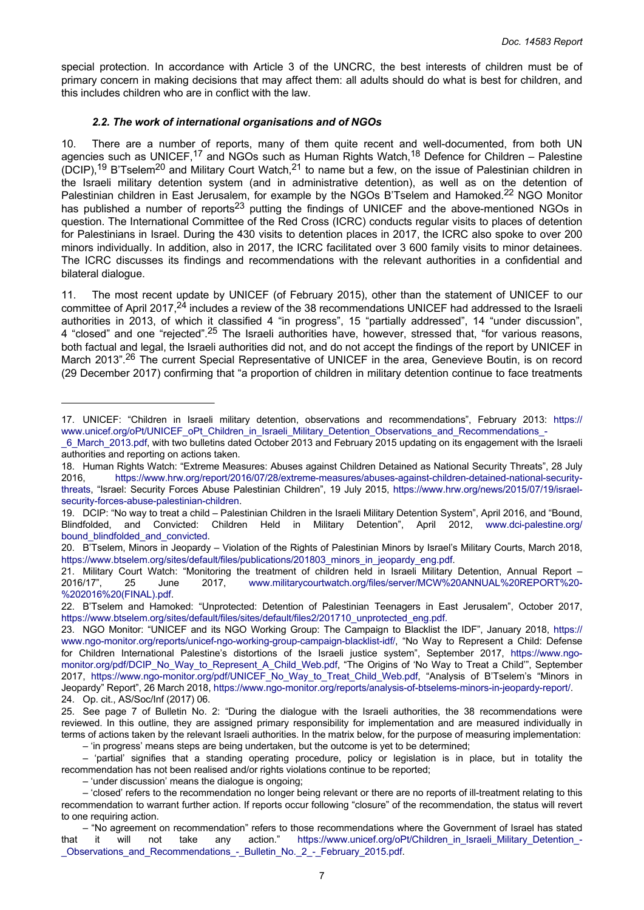<span id="page-6-0"></span>special protection. In accordance with Article 3 of the UNCRC, the best interests of children must be of primary concern in making decisions that may affect them: all adults should do what is best for children, and this includes children who are in conflict with the law.

#### *2.2. The work of international organisations and of NGOs*

10. There are a number of reports, many of them quite recent and well-documented, from both UN agencies such as UNICEF,<sup>17</sup> and NGOs such as Human Rights Watch,<sup>18</sup> Defence for Children – Palestine (DCIP),<sup>19</sup> B'Tselem<sup>20</sup> and Military Court Watch,<sup>21</sup> to name but a few, on the issue of Palestinian children in the Israeli military detention system (and in administrative detention), as well as on the detention of Palestinian children in East Jerusalem, for example by the NGOs B'Tselem and Hamoked.<sup>22</sup> NGO Monitor has published a number of reports<sup>23</sup> putting the findings of UNICEF and the above-mentioned NGOs in question. The International Committee of the Red Cross (ICRC) conducts regular visits to places of detention for Palestinians in Israel. During the 430 visits to detention places in 2017, the ICRC also spoke to over 200 minors individually. In addition, also in 2017, the ICRC facilitated over 3 600 family visits to minor detainees. The ICRC discusses its findings and recommendations with the relevant authorities in a confidential and bilateral dialogue.

11. The most recent update by UNICEF (of February 2015), other than the statement of UNICEF to our committee of April 2017,<sup>24</sup> includes a review of the 38 recommendations UNICEF had addressed to the Israeli authorities in 2013, of which it classified 4 "in progress", 15 "partially addressed", 14 "under discussion", 4 "closed" and one "rejected".<sup>25</sup> The Israeli authorities have, however, stressed that, "for various reasons, both factual and legal, the Israeli authorities did not, and do not accept the findings of the report by UNICEF in March 2013".<sup>26</sup> The current Special Representative of UNICEF in the area, Genevieve Boutin, is on record (29 December 2017) confirming that "a proportion of children in military detention continue to face treatments

<sup>17.</sup> UNICEF: "Children in Israeli military detention, observations and recommendations", February 2013: [https://](https://www.unicef.org/oPt/UNICEF_oPt_Children_in_Israeli_Military_Detention_Observations_and_Recommendations_-_6_March_2013.pdf) [www.unicef.org/oPt/UNICEF\\_oPt\\_Children\\_in\\_Israeli\\_Military\\_Detention\\_Observations\\_and\\_Recommendations\\_-](https://www.unicef.org/oPt/UNICEF_oPt_Children_in_Israeli_Military_Detention_Observations_and_Recommendations_-_6_March_2013.pdf)

[\\_6\\_March\\_2013.pdf,](https://www.unicef.org/oPt/UNICEF_oPt_Children_in_Israeli_Military_Detention_Observations_and_Recommendations_-_6_March_2013.pdf) with two bulletins dated October 2013 and February 2015 updating on its engagement with the Israeli authorities and reporting on actions taken.

<sup>18.</sup> Human Rights Watch: "Extreme Measures: Abuses against Children Detained as National Security Threats", 28 July 2016, [https://www.hrw.org/report/2016/07/28/extreme-measures/abuses-against-children-detained-national-security](https://www.hrw.org/report/2016/07/28/extreme-measures/abuses-against-children-detained-national-security-threats)[threats,](https://www.hrw.org/report/2016/07/28/extreme-measures/abuses-against-children-detained-national-security-threats) "Israel: Security Forces Abuse Palestinian Children", 19 July 2015, [https://www.hrw.org/news/2015/07/19/israel](https://www.hrw.org/news/2015/07/19/israel-security-forces-abuse-palestinian-children)[security-forces-abuse-palestinian-children](https://www.hrw.org/news/2015/07/19/israel-security-forces-abuse-palestinian-children).

<sup>19.</sup> DCIP: "No way to treat a child – Palestinian Children in the Israeli Military Detention System", April 2016, and "Bound, Blindfolded, and Convicted: Children Held in Military Detention", April 2012, [www.dci-palestine.org/](http://www.dci-palestine.org/bound_blindfolded_and_convicted) [bound\\_blindfolded\\_and\\_convicted.](http://www.dci-palestine.org/bound_blindfolded_and_convicted)

<sup>20.</sup> B'Tselem, Minors in Jeopardy – Violation of the Rights of Palestinian Minors by Israel's Military Courts, March 2018, [https://www.btselem.org/sites/default/files/publications/201803\\_minors\\_in\\_jeopardy\\_eng.pdf](https://www.btselem.org/sites/default/files/publications/201803_minors_in_jeopardy_eng.pdf).

<sup>21.</sup> Military Court Watch: "Monitoring the treatment of children held in Israeli Military Detention, Annual Report – 2016/17", 25 June 2017, [www.militarycourtwatch.org/files/server/MCW%20ANNUAL%20REPORT%20-](http://www.militarycourtwatch.org/files/server/MCW%20ANNUAL%20REPORT%20-%202016%20(FINAL).pdf) [%202016%20\(FINAL\).pdf](http://www.militarycourtwatch.org/files/server/MCW%20ANNUAL%20REPORT%20-%202016%20(FINAL).pdf).

<sup>22.</sup> B'Tselem and Hamoked: "Unprotected: Detention of Palestinian Teenagers in East Jerusalem", October 2017, [https://www.btselem.org/sites/default/files/sites/default/files2/201710\\_unprotected\\_eng.pdf.](https://www.btselem.org/sites/default/files/sites/default/files2/201710_unprotected_eng.pdf)

<sup>23.</sup> NGO Monitor: "UNICEF and its NGO Working Group: The Campaign to Blacklist the IDF", January 2018, [https://](https://www.ngo-monitor.org/reports/unicef-ngo-working-group-campaign-blacklist-idf/) [www.ngo-monitor.org/reports/unicef-ngo-working-group-campaign-blacklist-idf/,](https://www.ngo-monitor.org/reports/unicef-ngo-working-group-campaign-blacklist-idf/) "No Way to Represent a Child: Defense for Children International Palestine's distortions of the Israeli justice system", September 2017, [https://www.ngo](https://www.ngo-monitor.org/pdf/DCIP_No_Way_to_Represent_A_Child_Web.pdf)[monitor.org/pdf/DCIP\\_No\\_Way\\_to\\_Represent\\_A\\_Child\\_Web.pdf](https://www.ngo-monitor.org/pdf/DCIP_No_Way_to_Represent_A_Child_Web.pdf), "The Origins of 'No Way to Treat a Child'", September 2017, [https://www.ngo-monitor.org/pdf/UNICEF\\_No\\_Way\\_to\\_Treat\\_Child\\_Web.pdf](https://www.ngo-monitor.org/pdf/UNICEF_No_Way_to_Treat_Child_Web.pdf), "Analysis of B'Tselem's "Minors in Jeopardy" Report", 26 March 2018, [https://www.ngo-monitor.org/reports/analysis-of-btselems-minors-in-jeopardy-report/.](https://www.ngo-monitor.org/reports/analysis-of-btselems-minors-in-jeopardy-report/) 24. Op. cit., AS/Soc/Inf (2017) 06.

<sup>25.</sup> See page 7 of Bulletin No. 2: "During the dialogue with the Israeli authorities, the 38 recommendations were reviewed. In this outline, they are assigned primary responsibility for implementation and are measured individually in terms of actions taken by the relevant Israeli authorities. In the matrix below, for the purpose of measuring implementation: – 'in progress' means steps are being undertaken, but the outcome is yet to be determined;

<sup>–</sup> 'partial' signifies that a standing operating procedure, policy or legislation is in place, but in totality the recommendation has not been realised and/or rights violations continue to be reported;

<sup>– &#</sup>x27;under discussion' means the dialogue is ongoing;

<sup>– &#</sup>x27;closed' refers to the recommendation no longer being relevant or there are no reports of ill-treatment relating to this recommendation to warrant further action. If reports occur following "closure" of the recommendation, the status will revert to one requiring action.

<sup>–</sup> "No agreement on recommendation" refers to those recommendations where the Government of Israel has stated that it will not take any action." [https://www.unicef.org/oPt/Children\\_in\\_Israeli\\_Military\\_Detention\\_-](https://www.unicef.org/oPt/Children_in_Israeli_Military_Detention_-_Observations_and_Recommendations_-_Bulletin_No._2_-_February_2015.pdf) Observations and Recommendations - Bulletin No. 2 - February 2015.pdf.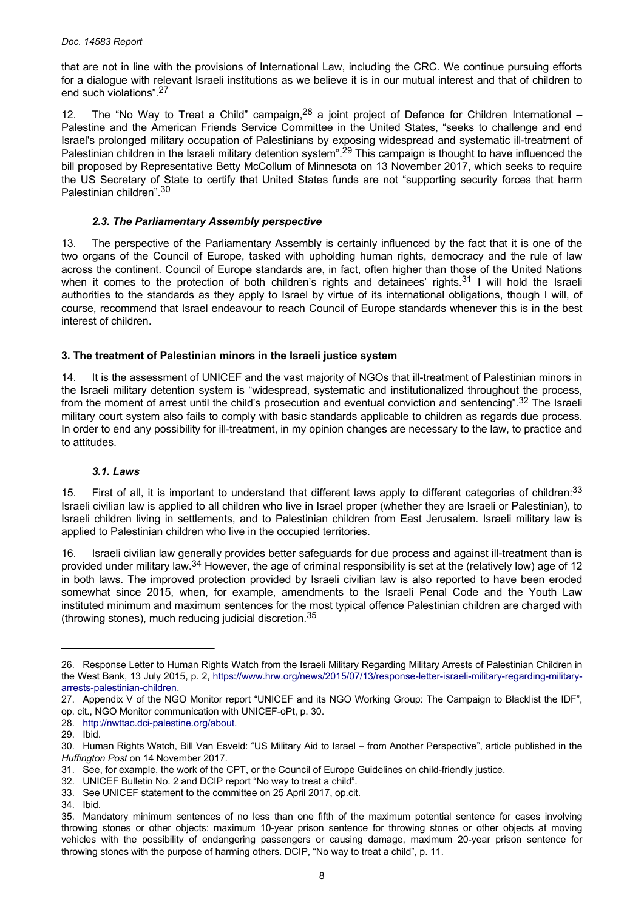<span id="page-7-0"></span>that are not in line with the provisions of International Law, including the CRC. We continue pursuing efforts for a dialogue with relevant Israeli institutions as we believe it is in our mutual interest and that of children to end such violations".<sup>27</sup>

12. The "No Way to Treat a Child" campaign,  $28$  a joint project of Defence for Children International – Palestine and the American Friends Service Committee in the United States, "seeks to challenge and end Israel's prolonged military occupation of Palestinians by exposing widespread and systematic ill-treatment of Palestinian children in the Israeli military detention system".<sup>29</sup> This campaign is thought to have influenced the bill proposed by Representative Betty McCollum of Minnesota on 13 November 2017, which seeks to require the US Secretary of State to certify that United States funds are not "supporting security forces that harm Palestinian children".<sup>30</sup>

## *2.3. The Parliamentary Assembly perspective*

13. The perspective of the Parliamentary Assembly is certainly influenced by the fact that it is one of the two organs of the Council of Europe, tasked with upholding human rights, democracy and the rule of law across the continent. Council of Europe standards are, in fact, often higher than those of the United Nations when it comes to the protection of both children's rights and detainees' rights.<sup>31</sup> I will hold the Israeli authorities to the standards as they apply to Israel by virtue of its international obligations, though I will, of course, recommend that Israel endeavour to reach Council of Europe standards whenever this is in the best interest of children.

#### **3. The treatment of Palestinian minors in the Israeli justice system**

14. It is the assessment of UNICEF and the vast majority of NGOs that ill-treatment of Palestinian minors in the Israeli military detention system is "widespread, systematic and institutionalized throughout the process, from the moment of arrest until the child's prosecution and eventual conviction and sentencing".<sup>32</sup> The Israeli military court system also fails to comply with basic standards applicable to children as regards due process. In order to end any possibility for ill-treatment, in my opinion changes are necessary to the law, to practice and to attitudes.

#### *3.1. Laws*

15. First of all, it is important to understand that different laws apply to different categories of children:  $33$ Israeli civilian law is applied to all children who live in Israel proper (whether they are Israeli or Palestinian), to Israeli children living in settlements, and to Palestinian children from East Jerusalem. Israeli military law is applied to Palestinian children who live in the occupied territories.

16. Israeli civilian law generally provides better safeguards for due process and against ill-treatment than is provided under military law.34 However, the age of criminal responsibility is set at the (relatively low) age of 12 in both laws. The improved protection provided by Israeli civilian law is also reported to have been eroded somewhat since 2015, when, for example, amendments to the Israeli Penal Code and the Youth Law instituted minimum and maximum sentences for the most typical offence Palestinian children are charged with (throwing stones), much reducing judicial discretion.<sup>35</sup>

<sup>26.</sup> Response Letter to Human Rights Watch from the Israeli Military Regarding Military Arrests of Palestinian Children in the West Bank, 13 July 2015, p. 2, [https://www.hrw.org/news/2015/07/13/response-letter-israeli-military-regarding-military](https://www.hrw.org/news/2015/07/13/response-letter-israeli-military-regarding-military-arrests-palestinian-children)[arrests-palestinian-children](https://www.hrw.org/news/2015/07/13/response-letter-israeli-military-regarding-military-arrests-palestinian-children).

<sup>27.</sup> Appendix V of the NGO Monitor report "UNICEF and its NGO Working Group: The Campaign to Blacklist the IDF", op. cit., NGO Monitor communication with UNICEF-oPt, p. 30.

<sup>28.</sup> [http://nwttac.dci-palestine.org/about.](http://nwttac.dci-palestine.org/about)

<sup>29.</sup> Ibid.

<sup>30.</sup> Human Rights Watch, Bill Van Esveld: "US Military Aid to Israel – from Another Perspective", article published in the *Huffington Post* on 14 November 2017.

<sup>31.</sup> See, for example, the work of the CPT, or the Council of Europe Guidelines on child-friendly justice.

<sup>32.</sup> UNICEF Bulletin No. 2 and DCIP report "No way to treat a child".

<sup>33.</sup> See UNICEF statement to the committee on 25 April 2017, op.cit.

<sup>34.</sup> Ibid.

<sup>35.</sup> Mandatory minimum sentences of no less than one fifth of the maximum potential sentence for cases involving throwing stones or other objects: maximum 10-year prison sentence for throwing stones or other objects at moving vehicles with the possibility of endangering passengers or causing damage, maximum 20-year prison sentence for throwing stones with the purpose of harming others. DCIP, "No way to treat a child", p. 11.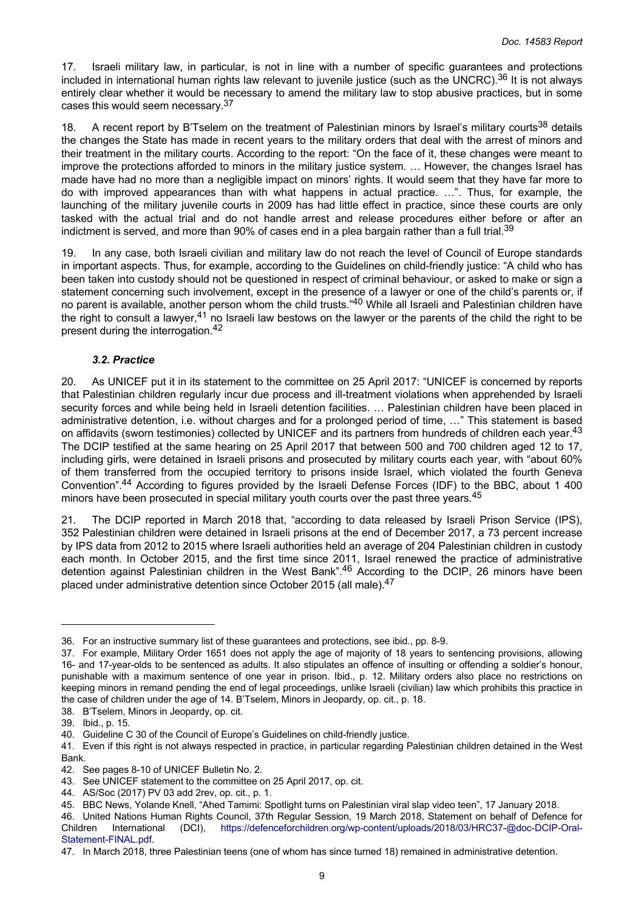<span id="page-8-0"></span>17. Israeli military law, in particular, is not in line with a number of specific guarantees and protections included in international human rights law relevant to juvenile justice (such as the UNCRC).<sup>36</sup> It is not always entirely clear whether it would be necessary to amend the military law to stop abusive practices, but in some cases this would seem necessary.<sup>37</sup>

18. A recent report by B'Tselem on the treatment of Palestinian minors by Israel's military courts<sup>38</sup> details the changes the State has made in recent years to the military orders that deal with the arrest of minors and their treatment in the military courts. According to the report: "On the face of it, these changes were meant to improve the protections afforded to minors in the military justice system. … However, the changes Israel has made have had no more than a negligible impact on minors' rights. It would seem that they have far more to do with improved appearances than with what happens in actual practice. …". Thus, for example, the launching of the military juvenile courts in 2009 has had little effect in practice, since these courts are only tasked with the actual trial and do not handle arrest and release procedures either before or after an indictment is served, and more than 90% of cases end in a plea bargain rather than a full trial.<sup>39</sup>

19. In any case, both Israeli civilian and military law do not reach the level of Council of Europe standards in important aspects. Thus, for example, according to the Guidelines on child-friendly justice: "A child who has been taken into custody should not be questioned in respect of criminal behaviour, or asked to make or sign a statement concerning such involvement, except in the presence of a lawyer or one of the child's parents or, if no parent is available, another person whom the child trusts."40 While all Israeli and Palestinian children have the right to consult a lawyer,<sup>41</sup> no Israeli law bestows on the lawyer or the parents of the child the right to be present during the interrogation.<sup>42</sup>

#### *3.2. Practice*

20. As UNICEF put it in its statement to the committee on 25 April 2017: "UNICEF is concerned by reports that Palestinian children regularly incur due process and ill-treatment violations when apprehended by Israeli security forces and while being held in Israeli detention facilities. ... Palestinian children have been placed in administrative detention, i.e. without charges and for a prolonged period of time, …" This statement is based on affidavits (sworn testimonies) collected by UNICEF and its partners from hundreds of children each year.<sup>43</sup> The DCIP testified at the same hearing on 25 April 2017 that between 500 and 700 children aged 12 to 17, including girls, were detained in Israeli prisons and prosecuted by military courts each year, with "about 60% of them transferred from the occupied territory to prisons inside Israel, which violated the fourth Geneva Convention".<sup>44</sup> According to figures provided by the Israeli Defense Forces (IDF) to the BBC, about 1 400 minors have been prosecuted in special military youth courts over the past three years.<sup>45</sup>

21. The DCIP reported in March 2018 that, "according to data released by Israeli Prison Service (IPS), 352 Palestinian children were detained in Israeli prisons at the end of December 2017, a 73 percent increase by IPS data from 2012 to 2015 where Israeli authorities held an average of 204 Palestinian children in custody each month. In October 2015, and the first time since 2011, Israel renewed the practice of administrative detention against Palestinian children in the West Bank".<sup>46</sup> According to the DCIP, 26 minors have been placed under administrative detention since October 2015 (all male).<sup>47</sup>

<sup>36.</sup> For an instructive summary list of these guarantees and protections, see ibid., pp. 8-9.

<sup>37.</sup> For example, Military Order 1651 does not apply the age of majority of 18 years to sentencing provisions, allowing 16- and 17-year-olds to be sentenced as adults. It also stipulates an offence of insulting or offending a soldier's honour, punishable with a maximum sentence of one year in prison. Ibid., p. 12. Military orders also place no restrictions on keeping minors in remand pending the end of legal proceedings, unlike Israeli (civilian) law which prohibits this practice in the case of children under the age of 14. B'Tselem, Minors in Jeopardy, op. cit., p. 18.

<sup>38.</sup> B'Tselem, Minors in Jeopardy, op. cit.

<sup>39.</sup> Ibid., p. 15.

<sup>40.</sup> Guideline C 30 of the Council of Europe's Guidelines on child-friendly justice.

<sup>41.</sup> Even if this right is not always respected in practice, in particular regarding Palestinian children detained in the West Bank.

<sup>42.</sup> See pages 8-10 of UNICEF Bulletin No. 2.

<sup>43.</sup> See UNICEF statement to the committee on 25 April 2017, op. cit.

<sup>44.</sup> AS/Soc (2017) PV 03 add 2rev, op. cit., p. 1.

<sup>45.</sup> BBC News, Yolande Knell, "Ahed Tamimi: Spotlight turns on Palestinian viral slap video teen", 17 January 2018.

<sup>46.</sup> United Nations Human Rights Council, 37th Regular Session, 19 March 2018, Statement on behalf of Defence for Children International (DCI), [https://defenceforchildren.org/wp-content/uploads/2018/03/HRC37-@doc-DCIP-Oral-](https://defenceforchildren.org/wp-content/uploads/2018/03/HRC37-@doc-DCIP-Oral-Statement-FINAL.pdf)[Statement-FINAL.pdf](https://defenceforchildren.org/wp-content/uploads/2018/03/HRC37-@doc-DCIP-Oral-Statement-FINAL.pdf).

<sup>47.</sup> In March 2018, three Palestinian teens (one of whom has since turned 18) remained in administrative detention.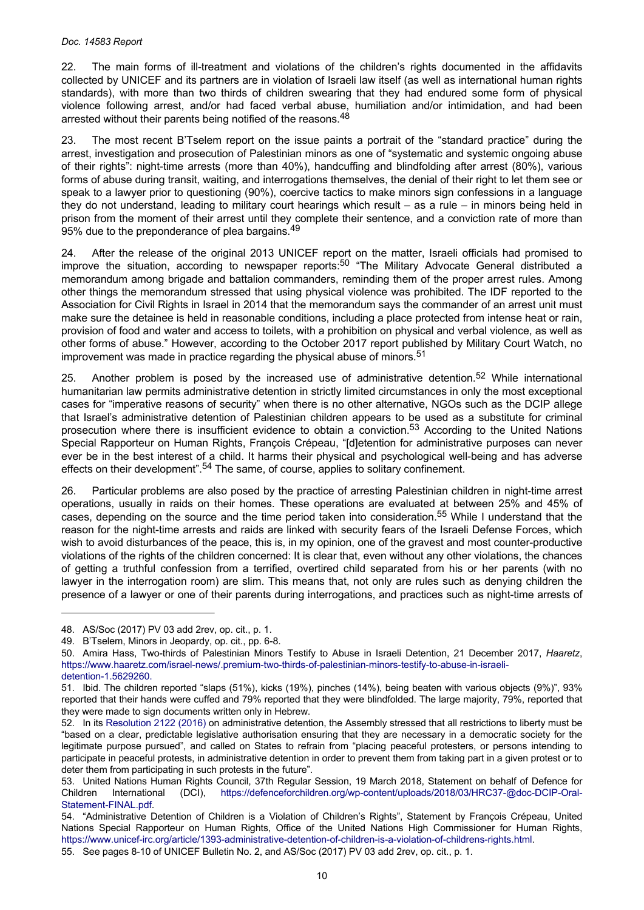22. The main forms of ill-treatment and violations of the children's rights documented in the affidavits collected by UNICEF and its partners are in violation of Israeli law itself (as well as international human rights standards), with more than two thirds of children swearing that they had endured some form of physical violence following arrest, and/or had faced verbal abuse, humiliation and/or intimidation, and had been arrested without their parents being notified of the reasons.<sup>48</sup>

23. The most recent B'Tselem report on the issue paints a portrait of the "standard practice" during the arrest, investigation and prosecution of Palestinian minors as one of "systematic and systemic ongoing abuse of their rights": night-time arrests (more than 40%), handcuffing and blindfolding after arrest (80%), various forms of abuse during transit, waiting, and interrogations themselves, the denial of their right to let them see or speak to a lawyer prior to questioning (90%), coercive tactics to make minors sign confessions in a language they do not understand, leading to military court hearings which result – as a rule – in minors being held in prison from the moment of their arrest until they complete their sentence, and a conviction rate of more than 95% due to the preponderance of plea bargains.<sup>49</sup>

24. After the release of the original 2013 UNICEF report on the matter, Israeli officials had promised to improve the situation, according to newspaper reports:<sup>50</sup> "The Military Advocate General distributed a memorandum among brigade and battalion commanders, reminding them of the proper arrest rules. Among other things the memorandum stressed that using physical violence was prohibited. The IDF reported to the Association for Civil Rights in Israel in 2014 that the memorandum says the commander of an arrest unit must make sure the detainee is held in reasonable conditions, including a place protected from intense heat or rain, provision of food and water and access to toilets, with a prohibition on physical and verbal violence, as well as other forms of abuse." However, according to the October 2017 report published by Military Court Watch, no improvement was made in practice regarding the physical abuse of minors.<sup>51</sup>

25. Another problem is posed by the increased use of administrative detention.<sup>52</sup> While international humanitarian law permits administrative detention in strictly limited circumstances in only the most exceptional cases for "imperative reasons of security" when there is no other alternative, NGOs such as the DCIP allege that Israel's administrative detention of Palestinian children appears to be used as a substitute for criminal prosecution where there is insufficient evidence to obtain a conviction.<sup>53</sup> According to the United Nations Special Rapporteur on Human Rights, François Crépeau, "[d]etention for administrative purposes can never ever be in the best interest of a child. It harms their physical and psychological well-being and has adverse effects on their development".<sup>54</sup> The same, of course, applies to solitary confinement.

26. Particular problems are also posed by the practice of arresting Palestinian children in night-time arrest operations, usually in raids on their homes. These operations are evaluated at between 25% and 45% of cases, depending on the source and the time period taken into consideration.<sup>55</sup> While I understand that the reason for the night-time arrests and raids are linked with security fears of the Israeli Defense Forces, which wish to avoid disturbances of the peace, this is, in my opinion, one of the gravest and most counter-productive violations of the rights of the children concerned: It is clear that, even without any other violations, the chances of getting a truthful confession from a terrified, overtired child separated from his or her parents (with no lawyer in the interrogation room) are slim. This means that, not only are rules such as denying children the presence of a lawyer or one of their parents during interrogations, and practices such as night-time arrests of

<sup>48.</sup> AS/Soc (2017) PV 03 add 2rev, op. cit., p. 1.

<sup>49.</sup> B'Tselem, Minors in Jeopardy, op. cit., pp. 6-8.

<sup>50.</sup> Amira Hass, Two-thirds of Palestinian Minors Testify to Abuse in Israeli Detention, 21 December 2017, *Haaretz*, [https://www.haaretz.com/israel-news/.premium-two-thirds-of-palestinian-minors-testify-to-abuse-in-israeli](https://www.haaretz.com/israel-news/.premium-two-thirds-of-palestinian-minors-testify-to-abuse-in-israeli-detention-1.5629260)[detention-1.5629260.](https://www.haaretz.com/israel-news/.premium-two-thirds-of-palestinian-minors-testify-to-abuse-in-israeli-detention-1.5629260)

<sup>51.</sup> Ibid. The children reported "slaps (51%), kicks (19%), pinches (14%), being beaten with various objects (9%)", 93% reported that their hands were cuffed and 79% reported that they were blindfolded. The large majority, 79%, reported that they were made to sign documents written only in Hebrew.

<sup>52.</sup> In its [Resolution 2122 \(2016\)](http://assembly.coe.int/nw/xml/XRef/Xref-DocDetails-en.asp?FileId=22958) on administrative detention, the Assembly stressed that all restrictions to liberty must be "based on a clear, predictable legislative authorisation ensuring that they are necessary in a democratic society for the legitimate purpose pursued", and called on States to refrain from "placing peaceful protesters, or persons intending to participate in peaceful protests, in administrative detention in order to prevent them from taking part in a given protest or to deter them from participating in such protests in the future".

<sup>53.</sup> United Nations Human Rights Council, 37th Regular Session, 19 March 2018, Statement on behalf of Defence for Children International (DCI), [https://defenceforchildren.org/wp-content/uploads/2018/03/HRC37-@doc-DCIP-Oral-](https://defenceforchildren.org/wp-content/uploads/2018/03/HRC37-@doc-DCIP-Oral-Statement-FINAL.pdf)[Statement-FINAL.pdf](https://defenceforchildren.org/wp-content/uploads/2018/03/HRC37-@doc-DCIP-Oral-Statement-FINAL.pdf).

<sup>54.</sup> "Administrative Detention of Children is a Violation of Children's Rights", Statement by François Crépeau, United Nations Special Rapporteur on Human Rights, Office of the United Nations High Commissioner for Human Rights, <https://www.unicef-irc.org/article/1393-administrative-detention-of-children-is-a-violation-of-childrens-rights.html>. 55. See pages 8-10 of UNICEF Bulletin No. 2, and AS/Soc (2017) PV 03 add 2rev, op. cit., p. 1.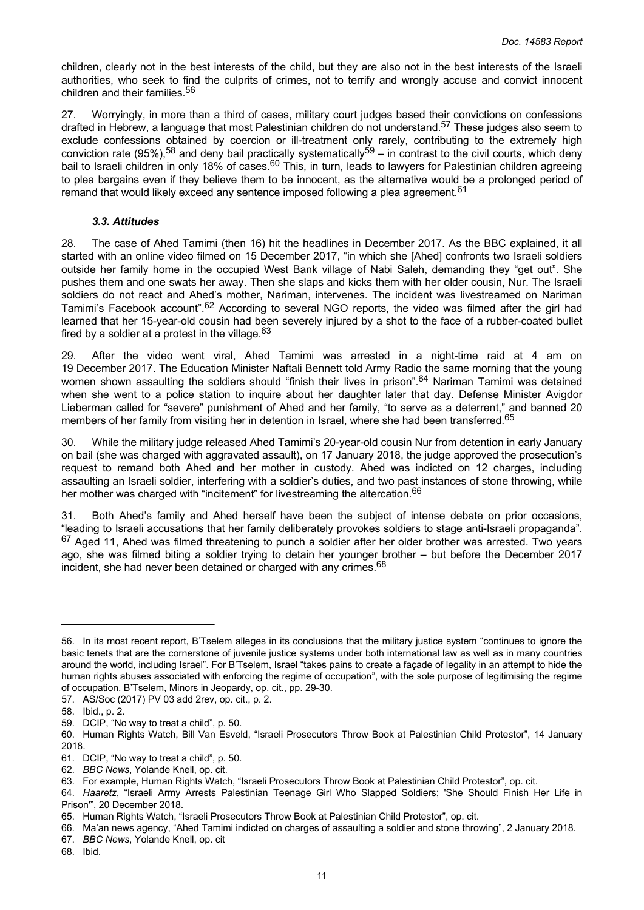<span id="page-10-0"></span>children, clearly not in the best interests of the child, but they are also not in the best interests of the Israeli authorities, who seek to find the culprits of crimes, not to terrify and wrongly accuse and convict innocent children and their families.<sup>56</sup>

27. Worryingly, in more than a third of cases, military court judges based their convictions on confessions drafted in Hebrew, a language that most Palestinian children do not understand.<sup>57</sup> These judges also seem to exclude confessions obtained by coercion or ill-treatment only rarely, contributing to the extremely high conviction rate (95%),<sup>58</sup> and deny bail practically systematically<sup>59</sup> – in contrast to the civil courts, which deny bail to Israeli children in only 18% of cases.<sup>60</sup> This, in turn, leads to lawyers for Palestinian children agreeing to plea bargains even if they believe them to be innocent, as the alternative would be a prolonged period of remand that would likely exceed any sentence imposed following a plea agreement.<sup>61</sup>

#### *3.3. Attitudes*

28. The case of Ahed Tamimi (then 16) hit the headlines in December 2017. As the BBC explained, it all started with an online video filmed on 15 December 2017, "in which she [Ahed] confronts two Israeli soldiers outside her family home in the occupied West Bank village of Nabi Saleh, demanding they "get out". She pushes them and one swats her away. Then she slaps and kicks them with her older cousin, Nur. The Israeli soldiers do not react and Ahed's mother, Nariman, intervenes. The incident was livestreamed on Nariman Tamimi's Facebook account".<sup>62</sup> According to several NGO reports, the video was filmed after the girl had learned that her 15-year-old cousin had been severely injured by a shot to the face of a rubber-coated bullet fired by a soldier at a protest in the village. $63$ 

29. After the video went viral, Ahed Tamimi was arrested in a night-time raid at 4 am on 19 December 2017. The Education Minister Naftali Bennett told Army Radio the same morning that the young women shown assaulting the soldiers should "finish their lives in prison".<sup>64</sup> Nariman Tamimi was detained when she went to a police station to inquire about her daughter later that day. Defense Minister Avigdor Lieberman called for "severe" punishment of Ahed and her family, "to serve as a deterrent," and banned 20 members of her family from visiting her in detention in Israel, where she had been transferred.<sup>65</sup>

30. While the military judge released Ahed Tamimi's 20-year-old cousin Nur from detention in early January on bail (she was charged with aggravated assault), on 17 January 2018, the judge approved the prosecution's request to remand both Ahed and her mother in custody. Ahed was indicted on 12 charges, including assaulting an Israeli soldier, interfering with a soldier's duties, and two past instances of stone throwing, while her mother was charged with "incitement" for livestreaming the altercation.<sup>66</sup>

31. Both Ahed's family and Ahed herself have been the subject of intense debate on prior occasions, "leading to Israeli accusations that her family deliberately provokes soldiers to stage anti-Israeli propaganda". <sup>67</sup> Aged 11, Ahed was filmed threatening to punch a soldier after her older brother was arrested. Two years ago, she was filmed biting a soldier trying to detain her younger brother – but before the December 2017 incident, she had never been detained or charged with any crimes.<sup>68</sup>

<sup>56.</sup> In its most recent report, B'Tselem alleges in its conclusions that the military justice system "continues to ignore the basic tenets that are the cornerstone of juvenile justice systems under both international law as well as in many countries around the world, including Israel". For B'Tselem, Israel "takes pains to create a façade of legality in an attempt to hide the human rights abuses associated with enforcing the regime of occupation", with the sole purpose of legitimising the regime of occupation. B'Tselem, Minors in Jeopardy, op. cit., pp. 29-30.

<sup>57.</sup> AS/Soc (2017) PV 03 add 2rev, op. cit., p. 2.

<sup>58.</sup> Ibid., p. 2.

<sup>59.</sup> DCIP, "No way to treat a child", p. 50.

<sup>60.</sup> Human Rights Watch, Bill Van Esveld, "Israeli Prosecutors Throw Book at Palestinian Child Protestor", 14 January 2018.

<sup>61.</sup> DCIP, "No way to treat a child", p. 50.

<sup>62.</sup> *BBC News*, Yolande Knell, op. cit.

<sup>63.</sup> For example, Human Rights Watch, "Israeli Prosecutors Throw Book at Palestinian Child Protestor", op. cit.

<sup>64.</sup> *Haaretz*, "Israeli Army Arrests Palestinian Teenage Girl Who Slapped Soldiers; 'She Should Finish Her Life in Prison'", 20 December 2018.

<sup>65.</sup> Human Rights Watch, "Israeli Prosecutors Throw Book at Palestinian Child Protestor", op. cit.

<sup>66.</sup> Ma'an news agency, "Ahed Tamimi indicted on charges of assaulting a soldier and stone throwing", 2 January 2018.

<sup>67.</sup> *BBC News*, Yolande Knell, op. cit

<sup>68.</sup> Ibid.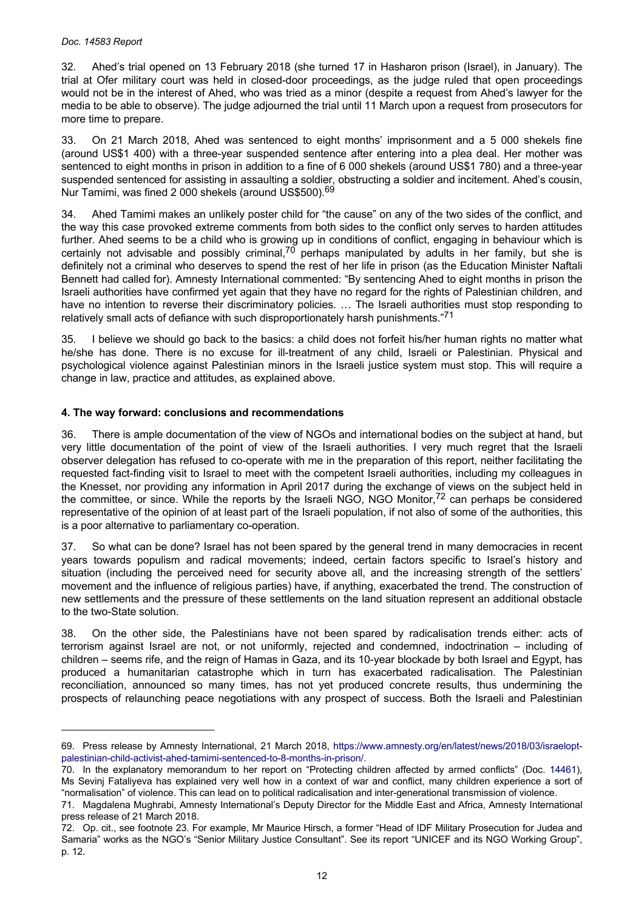#### <span id="page-11-0"></span>*Doc. 14583 Report*

32. Ahed's trial opened on 13 February 2018 (she turned 17 in Hasharon prison (Israel), in January). The trial at Ofer military court was held in closed-door proceedings, as the judge ruled that open proceedings would not be in the interest of Ahed, who was tried as a minor (despite a request from Ahed's lawyer for the media to be able to observe). The judge adjourned the trial until 11 March upon a request from prosecutors for more time to prepare.

33. On 21 March 2018, Ahed was sentenced to eight months' imprisonment and a 5 000 shekels fine (around US\$1 400) with a three-year suspended sentence after entering into a plea deal. Her mother was sentenced to eight months in prison in addition to a fine of 6 000 shekels (around US\$1 780) and a three-year suspended sentenced for assisting in assaulting a soldier, obstructing a soldier and incitement. Ahed's cousin, Nur Tamimi, was fined 2 000 shekels (around US\$500).<sup>69</sup>

34. Ahed Tamimi makes an unlikely poster child for "the cause" on any of the two sides of the conflict, and the way this case provoked extreme comments from both sides to the conflict only serves to harden attitudes further. Ahed seems to be a child who is growing up in conditions of conflict, engaging in behaviour which is certainly not advisable and possibly criminal,<sup>70</sup> perhaps manipulated by adults in her family, but she is definitely not a criminal who deserves to spend the rest of her life in prison (as the Education Minister Naftali Bennett had called for). Amnesty International commented: "By sentencing Ahed to eight months in prison the Israeli authorities have confirmed yet again that they have no regard for the rights of Palestinian children, and have no intention to reverse their discriminatory policies. … The Israeli authorities must stop responding to relatively small acts of defiance with such disproportionately harsh punishments."<sup>71</sup>

35. I believe we should go back to the basics: a child does not forfeit his/her human rights no matter what he/she has done. There is no excuse for ill-treatment of any child, Israeli or Palestinian. Physical and psychological violence against Palestinian minors in the Israeli justice system must stop. This will require a change in law, practice and attitudes, as explained above.

## **4. The way forward: conclusions and recommendations**

36. There is ample documentation of the view of NGOs and international bodies on the subject at hand, but very little documentation of the point of view of the Israeli authorities. I very much regret that the Israeli observer delegation has refused to co-operate with me in the preparation of this report, neither facilitating the requested fact-finding visit to Israel to meet with the competent Israeli authorities, including my colleagues in the Knesset, nor providing any information in April 2017 during the exchange of views on the subject held in the committee, or since. While the reports by the Israeli NGO, NGO Monitor,<sup>72</sup> can perhaps be considered representative of the opinion of at least part of the Israeli population, if not also of some of the authorities, this is a poor alternative to parliamentary co-operation.

37. So what can be done? Israel has not been spared by the general trend in many democracies in recent years towards populism and radical movements; indeed, certain factors specific to Israel's history and situation (including the perceived need for security above all, and the increasing strength of the settlers' movement and the influence of religious parties) have, if anything, exacerbated the trend. The construction of new settlements and the pressure of these settlements on the land situation represent an additional obstacle to the two-State solution.

38. On the other side, the Palestinians have not been spared by radicalisation trends either: acts of terrorism against Israel are not, or not uniformly, rejected and condemned, indoctrination – including of children – seems rife, and the reign of Hamas in Gaza, and its 10-year blockade by both Israel and Egypt, has produced a humanitarian catastrophe which in turn has exacerbated radicalisation. The Palestinian reconciliation, announced so many times, has not yet produced concrete results, thus undermining the prospects of relaunching peace negotiations with any prospect of success. Both the Israeli and Palestinian

<sup>69.</sup> Press release by Amnesty International, 21 March 2018, [https://www.amnesty.org/en/latest/news/2018/03/israelopt](https://www.amnesty.org/en/latest/news/2018/03/israelopt-palestinian-child-activist-ahed-tamimi-sentenced-to-8-months-in-prison/)[palestinian-child-activist-ahed-tamimi-sentenced-to-8-months-in-prison/.](https://www.amnesty.org/en/latest/news/2018/03/israelopt-palestinian-child-activist-ahed-tamimi-sentenced-to-8-months-in-prison/)

<sup>70.</sup> In the explanatory memorandum to her report on "Protecting children affected by armed conflicts" (Doc. [14461](http://assembly.coe.int/nw/xml/XRef/Xref-DocDetails-en.asp?FileId=24286)), Ms Sevinj Fataliyeva has explained very well how in a context of war and conflict, many children experience a sort of "normalisation" of violence. This can lead on to political radicalisation and inter-generational transmission of violence.

<sup>71.</sup> Magdalena Mughrabi, Amnesty International's Deputy Director for the Middle East and Africa, Amnesty International press release of 21 March 2018.

<sup>72.</sup> Op. cit., see footnote 23. For example, Mr Maurice Hirsch, a former "Head of IDF Military Prosecution for Judea and Samaria" works as the NGO's "Senior Military Justice Consultant". See its report "UNICEF and its NGO Working Group", p. 12.